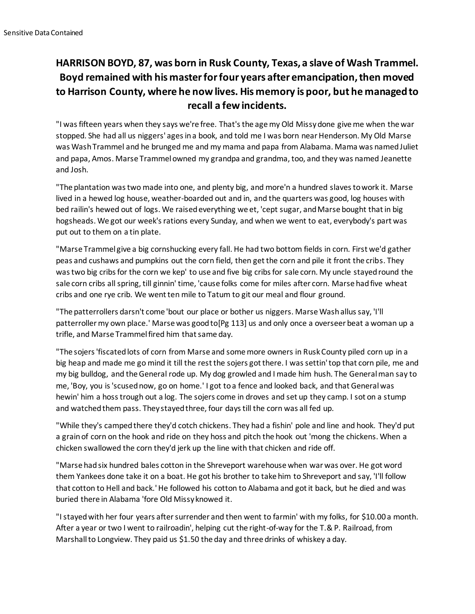## **HARRISON BOYD, 87, was born in Rusk County, Texas, a slave of Wash Trammel. Boyd remained with his master for four years after emancipation, then moved to Harrison County, where he now lives. His memory is poor, but he managed to recall a few incidents.**

"I was fifteen years when they says we're free. That's the age my Old Missy done give me when the war stopped. She had all us niggers' ages in a book, and told me I was born near Henderson. My Old Marse was Wash Trammel and he brunged me and my mama and papa from Alabama. Mama was named Juliet and papa, Amos. Marse Trammel owned my grandpa and grandma, too, and they was named Jeanette and Josh.

"The plantation was two made into one, and plenty big, and more'n a hundred slaves to work it. Marse lived in a hewed log house, weather-boarded out and in, and the quarters was good, log houses with bed railin's hewed out of logs. We raised everything we et, 'cept sugar, and Marse bought that in big hogsheads. We got our week's rations every Sunday, and when we went to eat, everybody's part was put out to them on a tin plate.

"Marse Trammel give a big cornshucking every fall. He had two bottom fields in corn. First we'd gather peas and cushaws and pumpkins out the corn field, then get the corn and pile it front the cribs. They was two big cribs for the corn we kep' to use and five big cribs for sale corn. My uncle stayed round the sale corn cribs all spring, till ginnin' time, 'cause folks come for miles after corn. Marse had five wheat cribs and one rye crib. We went ten mile to Tatum to git our meal and flour ground.

"The patterrollers darsn't come 'bout our place or bother us niggers. Marse Wash allus say, 'I'll patterroller my own place.' Marse was good to[Pg 113] us and only once a overseer beat a woman up a trifle, and Marse Trammel fired him that same day.

"The sojers 'fiscated lots of corn from Marse and some more owners in Rusk County piled corn up in a big heap and made me go mind it till the rest the sojers got there. I was settin' top that corn pile, me and my big bulldog, and the General rode up. My dog growled and I made him hush. The General man say to me, 'Boy, you is 'scused now, go on home.' I got to a fence and looked back, and that General was hewin' him a hoss trough out a log. The sojers come in droves and set up they camp. I sot on a stump and watched them pass. They stayed three, four days till the corn was all fed up.

"While they's camped there they'd cotch chickens. They had a fishin' pole and line and hook. They'd put a grain of corn on the hook and ride on they hoss and pitch the hook out 'mong the chickens. When a chicken swallowed the corn they'd jerk up the line with that chicken and ride off.

"Marse had six hundred bales cotton in the Shreveport warehouse when war was over. He got word them Yankees done take it on a boat. He got his brother to take him to Shreveport and say, 'I'll follow that cotton to Hell and back.' He followed his cotton to Alabama and got it back, but he died and was buried there in Alabama 'fore Old Missy knowed it.

"I stayed with her four years after surrender and then went to farmin' with my folks, for \$10.00 a month. After a year or two I went to railroadin', helping cut the right-of-way for the T.& P. Railroad, from Marshall to Longview. They paid us \$1.50 the day and three drinks of whiskey a day.